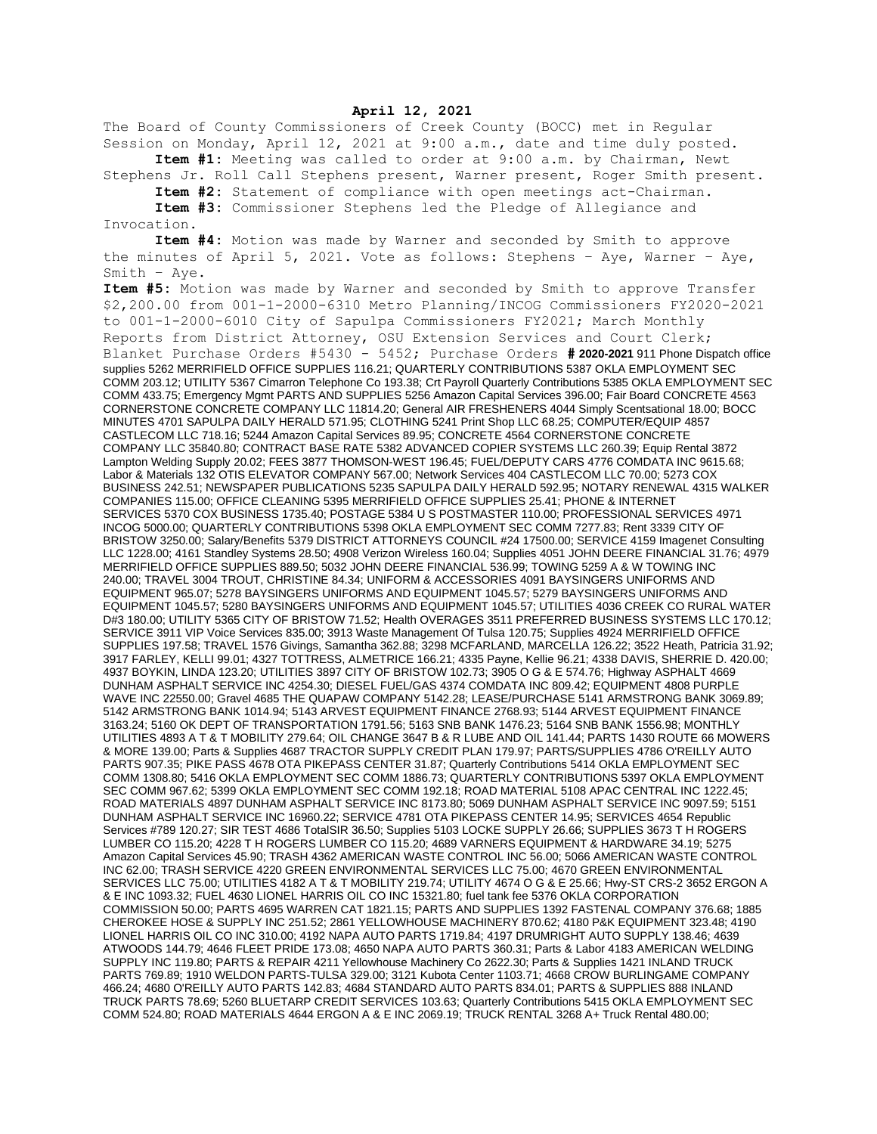## **April 12, 2021**

The Board of County Commissioners of Creek County (BOCC) met in Regular Session on Monday, April 12, 2021 at 9:00 a.m., date and time duly posted.

**Item #1:** Meeting was called to order at 9:00 a.m. by Chairman, Newt Stephens Jr. Roll Call Stephens present, Warner present, Roger Smith present.

**Item #2:** Statement of compliance with open meetings act-Chairman.

**Item #3:** Commissioner Stephens led the Pledge of Allegiance and Invocation.

**Item #4:** Motion was made by Warner and seconded by Smith to approve the minutes of April 5, 2021. Vote as follows: Stephens – Aye, Warner – Aye, Smith – Aye.

**Item #5:** Motion was made by Warner and seconded by Smith to approve Transfer \$2,200.00 from 001-1-2000-6310 Metro Planning/INCOG Commissioners FY2020-2021 to 001-1-2000-6010 City of Sapulpa Commissioners FY2021; March Monthly Reports from District Attorney, OSU Extension Services and Court Clerk; Blanket Purchase Orders #5430 - 5452; Purchase Orders **# 2020-2021** 911 Phone Dispatch office supplies 5262 MERRIFIELD OFFICE SUPPLIES 116.21; QUARTERLY CONTRIBUTIONS 5387 OKLA EMPLOYMENT SEC COMM 203.12; UTILITY 5367 Cimarron Telephone Co 193.38; Crt Payroll Quarterly Contributions 5385 OKLA EMPLOYMENT SEC COMM 433.75; Emergency Mgmt PARTS AND SUPPLIES 5256 Amazon Capital Services 396.00; Fair Board CONCRETE 4563 CORNERSTONE CONCRETE COMPANY LLC 11814.20; General AIR FRESHENERS 4044 Simply Scentsational 18.00; BOCC MINUTES 4701 SAPULPA DAILY HERALD 571.95; CLOTHING 5241 Print Shop LLC 68.25; COMPUTER/EQUIP 4857 CASTLECOM LLC 718.16; 5244 Amazon Capital Services 89.95; CONCRETE 4564 CORNERSTONE CONCRETE COMPANY LLC 35840.80; CONTRACT BASE RATE 5382 ADVANCED COPIER SYSTEMS LLC 260.39; Equip Rental 3872 Lampton Welding Supply 20.02; FEES 3877 THOMSON-WEST 196.45; FUEL/DEPUTY CARS 4776 COMDATA INC 9615.68; Labor & Materials 132 OTIS ELEVATOR COMPANY 567.00; Network Services 404 CASTLECOM LLC 70.00; 5273 COX BUSINESS 242.51; NEWSPAPER PUBLICATIONS 5235 SAPULPA DAILY HERALD 592.95; NOTARY RENEWAL 4315 WALKER COMPANIES 115.00; OFFICE CLEANING 5395 MERRIFIELD OFFICE SUPPLIES 25.41; PHONE & INTERNET SERVICES 5370 COX BUSINESS 1735.40; POSTAGE 5384 U S POSTMASTER 110.00; PROFESSIONAL SERVICES 4971 INCOG 5000.00; QUARTERLY CONTRIBUTIONS 5398 OKLA EMPLOYMENT SEC COMM 7277.83; Rent 3339 CITY OF BRISTOW 3250.00; Salary/Benefits 5379 DISTRICT ATTORNEYS COUNCIL #24 17500.00; SERVICE 4159 Imagenet Consulting LLC 1228.00; 4161 Standley Systems 28.50; 4908 Verizon Wireless 160.04; Supplies 4051 JOHN DEERE FINANCIAL 31.76; 4979 MERRIFIELD OFFICE SUPPLIES 889.50; 5032 JOHN DEERE FINANCIAL 536.99; TOWING 5259 A & W TOWING INC 240.00; TRAVEL 3004 TROUT, CHRISTINE 84.34; UNIFORM & ACCESSORIES 4091 BAYSINGERS UNIFORMS AND EQUIPMENT 965.07; 5278 BAYSINGERS UNIFORMS AND EQUIPMENT 1045.57; 5279 BAYSINGERS UNIFORMS AND EQUIPMENT 1045.57; 5280 BAYSINGERS UNIFORMS AND EQUIPMENT 1045.57; UTILITIES 4036 CREEK CO RURAL WATER D#3 180.00; UTILITY 5365 CITY OF BRISTOW 71.52; Health OVERAGES 3511 PREFERRED BUSINESS SYSTEMS LLC 170.12; SERVICE 3911 VIP Voice Services 835.00; 3913 Waste Management Of Tulsa 120.75; Supplies 4924 MERRIFIELD OFFICE SUPPLIES 197.58; TRAVEL 1576 Givings, Samantha 362.88; 3298 MCFARLAND, MARCELLA 126.22; 3522 Heath, Patricia 31.92; 3917 FARLEY, KELLI 99.01; 4327 TOTTRESS, ALMETRICE 166.21; 4335 Payne, Kellie 96.21; 4338 DAVIS, SHERRIE D. 420.00; 4937 BOYKIN, LINDA 123.20; UTILITIES 3897 CITY OF BRISTOW 102.73; 3905 O G & E 574.76; Highway ASPHALT 4669 DUNHAM ASPHALT SERVICE INC 4254.30; DIESEL FUEL/GAS 4374 COMDATA INC 809.42; EQUIPMENT 4808 PURPLE WAVE INC 22550.00; Gravel 4685 THE QUAPAW COMPANY 5142.28; LEASE/PURCHASE 5141 ARMSTRONG BANK 3069.89; 5142 ARMSTRONG BANK 1014.94; 5143 ARVEST EQUIPMENT FINANCE 2768.93; 5144 ARVEST EQUIPMENT FINANCE 3163.24; 5160 OK DEPT OF TRANSPORTATION 1791.56; 5163 SNB BANK 1476.23; 5164 SNB BANK 1556.98; MONTHLY UTILITIES 4893 A T & T MOBILITY 279.64; OIL CHANGE 3647 B & R LUBE AND OIL 141.44; PARTS 1430 ROUTE 66 MOWERS & MORE 139.00; Parts & Supplies 4687 TRACTOR SUPPLY CREDIT PLAN 179.97; PARTS/SUPPLIES 4786 O'REILLY AUTO PARTS 907.35; PIKE PASS 4678 OTA PIKEPASS CENTER 31.87; Quarterly Contributions 5414 OKLA EMPLOYMENT SEC COMM 1308.80; 5416 OKLA EMPLOYMENT SEC COMM 1886.73; QUARTERLY CONTRIBUTIONS 5397 OKLA EMPLOYMENT SEC COMM 967.62; 5399 OKLA EMPLOYMENT SEC COMM 192.18; ROAD MATERIAL 5108 APAC CENTRAL INC 1222.45; ROAD MATERIALS 4897 DUNHAM ASPHALT SERVICE INC 8173.80; 5069 DUNHAM ASPHALT SERVICE INC 9097.59; 5151 DUNHAM ASPHALT SERVICE INC 16960.22; SERVICE 4781 OTA PIKEPASS CENTER 14.95; SERVICES 4654 Republic Services #789 120.27; SIR TEST 4686 TotalSIR 36.50; Supplies 5103 LOCKE SUPPLY 26.66; SUPPLIES 3673 T H ROGERS LUMBER CO 115.20; 4228 T H ROGERS LUMBER CO 115.20; 4689 VARNERS EQUIPMENT & HARDWARE 34.19; 5275 Amazon Capital Services 45.90; TRASH 4362 AMERICAN WASTE CONTROL INC 56.00; 5066 AMERICAN WASTE CONTROL INC 62.00; TRASH SERVICE 4220 GREEN ENVIRONMENTAL SERVICES LLC 75.00; 4670 GREEN ENVIRONMENTAL SERVICES LLC 75.00; UTILITIES 4182 A T & T MOBILITY 219.74; UTILITY 4674 O G & E 25.66; Hwy-ST CRS-2 3652 ERGON A & E INC 1093.32; FUEL 4630 LIONEL HARRIS OIL CO INC 15321.80; fuel tank fee 5376 OKLA CORPORATION COMMISSION 50.00; PARTS 4695 WARREN CAT 1821.15; PARTS AND SUPPLIES 1392 FASTENAL COMPANY 376.68; 1885 CHEROKEE HOSE & SUPPLY INC 251.52; 2861 YELLOWHOUSE MACHINERY 870.62; 4180 P&K EQUIPMENT 323.48; 4190 LIONEL HARRIS OIL CO INC 310.00; 4192 NAPA AUTO PARTS 1719.84; 4197 DRUMRIGHT AUTO SUPPLY 138.46; 4639 ATWOODS 144.79; 4646 FLEET PRIDE 173.08; 4650 NAPA AUTO PARTS 360.31; Parts & Labor 4183 AMERICAN WELDING SUPPLY INC 119.80; PARTS & REPAIR 4211 Yellowhouse Machinery Co 2622.30; Parts & Supplies 1421 INLAND TRUCK PARTS 769.89; 1910 WELDON PARTS-TULSA 329.00; 3121 Kubota Center 1103.71; 4668 CROW BURLINGAME COMPANY 466.24; 4680 O'REILLY AUTO PARTS 142.83; 4684 STANDARD AUTO PARTS 834.01; PARTS & SUPPLIES 888 INLAND TRUCK PARTS 78.69; 5260 BLUETARP CREDIT SERVICES 103.63; Quarterly Contributions 5415 OKLA EMPLOYMENT SEC COMM 524.80; ROAD MATERIALS 4644 ERGON A & E INC 2069.19; TRUCK RENTAL 3268 A+ Truck Rental 480.00;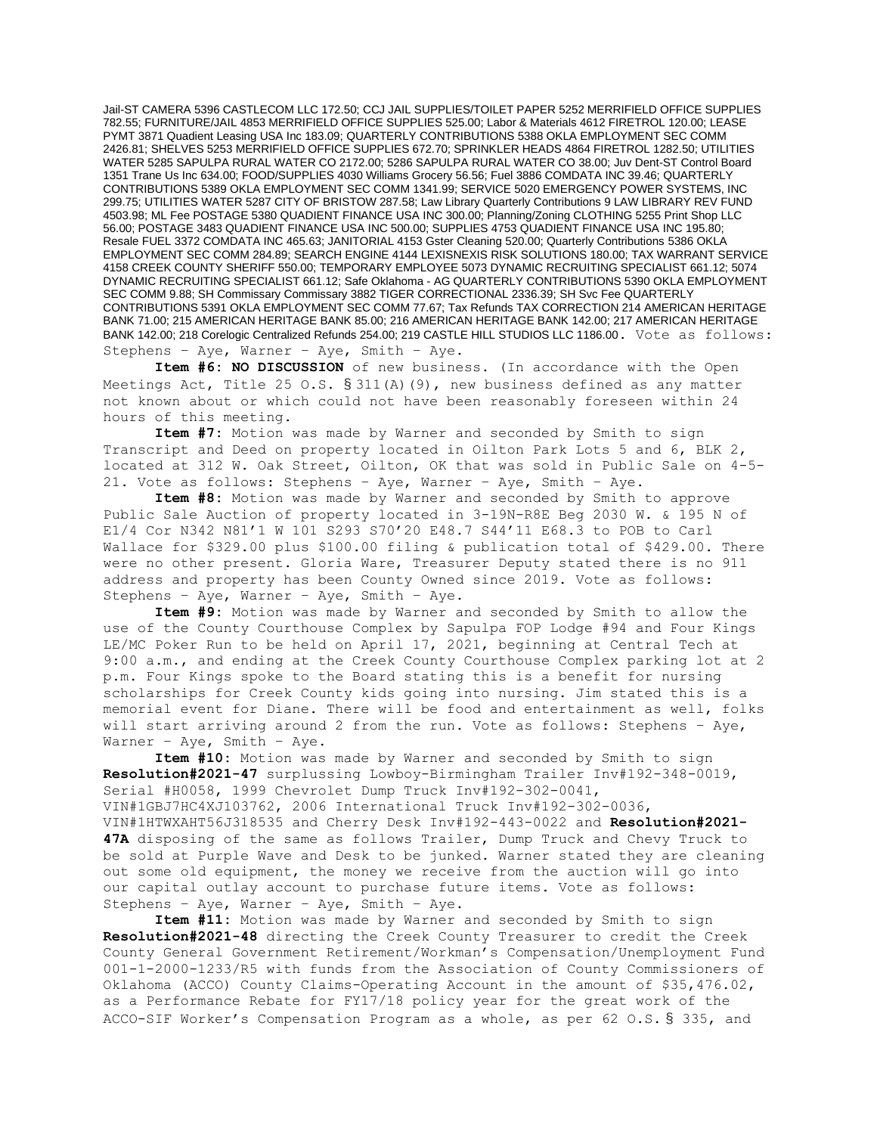Jail-ST CAMERA 5396 CASTLECOM LLC 172.50; CCJ JAIL SUPPLIES/TOILET PAPER 5252 MERRIFIELD OFFICE SUPPLIES 782.55; FURNITURE/JAIL 4853 MERRIFIELD OFFICE SUPPLIES 525.00; Labor & Materials 4612 FIRETROL 120.00; LEASE PYMT 3871 Quadient Leasing USA Inc 183.09; QUARTERLY CONTRIBUTIONS 5388 OKLA EMPLOYMENT SEC COMM 2426.81; SHELVES 5253 MERRIFIELD OFFICE SUPPLIES 672.70; SPRINKLER HEADS 4864 FIRETROL 1282.50; UTILITIES WATER 5285 SAPULPA RURAL WATER CO 2172.00; 5286 SAPULPA RURAL WATER CO 38.00; Juv Dent-ST Control Board 1351 Trane Us Inc 634.00; FOOD/SUPPLIES 4030 Williams Grocery 56.56; Fuel 3886 COMDATA INC 39.46; QUARTERLY CONTRIBUTIONS 5389 OKLA EMPLOYMENT SEC COMM 1341.99; SERVICE 5020 EMERGENCY POWER SYSTEMS, INC 299.75; UTILITIES WATER 5287 CITY OF BRISTOW 287.58; Law Library Quarterly Contributions 9 LAW LIBRARY REV FUND 4503.98; ML Fee POSTAGE 5380 QUADIENT FINANCE USA INC 300.00; Planning/Zoning CLOTHING 5255 Print Shop LLC 56.00; POSTAGE 3483 QUADIENT FINANCE USA INC 500.00; SUPPLIES 4753 QUADIENT FINANCE USA INC 195.80; Resale FUEL 3372 COMDATA INC 465.63; JANITORIAL 4153 Gster Cleaning 520.00; Quarterly Contributions 5386 OKLA EMPLOYMENT SEC COMM 284.89; SEARCH ENGINE 4144 LEXISNEXIS RISK SOLUTIONS 180.00; TAX WARRANT SERVICE 4158 CREEK COUNTY SHERIFF 550.00; TEMPORARY EMPLOYEE 5073 DYNAMIC RECRUITING SPECIALIST 661.12; 5074 DYNAMIC RECRUITING SPECIALIST 661.12; Safe Oklahoma - AG QUARTERLY CONTRIBUTIONS 5390 OKLA EMPLOYMENT SEC COMM 9.88; SH Commissary Commissary 3882 TIGER CORRECTIONAL 2336.39; SH Svc Fee QUARTERLY CONTRIBUTIONS 5391 OKLA EMPLOYMENT SEC COMM 77.67; Tax Refunds TAX CORRECTION 214 AMERICAN HERITAGE BANK 71.00; 215 AMERICAN HERITAGE BANK 85.00; 216 AMERICAN HERITAGE BANK 142.00; 217 AMERICAN HERITAGE BANK 142.00; 218 Corelogic Centralized Refunds 254.00; 219 CASTLE HILL STUDIOS LLC 1186.00. Vote as follows: Stephens – Aye, Warner – Aye, Smith – Aye.

**Item #6: NO DISCUSSION** of new business. (In accordance with the Open Meetings Act, Title 25 O.S.  $\S 311(A)$  (9), new business defined as any matter not known about or which could not have been reasonably foreseen within 24 hours of this meeting.

**Item #7:** Motion was made by Warner and seconded by Smith to sign Transcript and Deed on property located in Oilton Park Lots 5 and 6, BLK 2, located at 312 W. Oak Street, Oilton, OK that was sold in Public Sale on 4-5- 21. Vote as follows: Stephens – Aye, Warner – Aye, Smith – Aye.

**Item #8:** Motion was made by Warner and seconded by Smith to approve Public Sale Auction of property located in 3-19N-R8E Beg 2030 W. & 195 N of E1/4 Cor N342 N81'1 W 101 S293 S70'20 E48.7 S44'11 E68.3 to POB to Carl Wallace for \$329.00 plus \$100.00 filing & publication total of \$429.00. There were no other present. Gloria Ware, Treasurer Deputy stated there is no 911 address and property has been County Owned since 2019. Vote as follows: Stephens – Aye, Warner – Aye, Smith – Aye.

**Item #9:** Motion was made by Warner and seconded by Smith to allow the use of the County Courthouse Complex by Sapulpa FOP Lodge #94 and Four Kings LE/MC Poker Run to be held on April 17, 2021, beginning at Central Tech at 9:00 a.m., and ending at the Creek County Courthouse Complex parking lot at 2 p.m. Four Kings spoke to the Board stating this is a benefit for nursing scholarships for Creek County kids going into nursing. Jim stated this is a memorial event for Diane. There will be food and entertainment as well, folks will start arriving around 2 from the run. Vote as follows: Stephens – Aye, Warner – Aye, Smith – Aye.

**Item #10:** Motion was made by Warner and seconded by Smith to sign **Resolution#2021-47** surplussing Lowboy-Birmingham Trailer Inv#192-348-0019, Serial #H0058, 1999 Chevrolet Dump Truck Inv#192-302-0041, VIN#1GBJ7HC4XJ103762, 2006 International Truck Inv#192-302-0036, VIN#1HTWXAHT56J318535 and Cherry Desk Inv#192-443-0022 and **Resolution#2021- 47A** disposing of the same as follows Trailer, Dump Truck and Chevy Truck to be sold at Purple Wave and Desk to be junked. Warner stated they are cleaning out some old equipment, the money we receive from the auction will go into our capital outlay account to purchase future items. Vote as follows: Stephens – Aye, Warner – Aye, Smith – Aye.

**Item #11:** Motion was made by Warner and seconded by Smith to sign **Resolution#2021-48** directing the Creek County Treasurer to credit the Creek County General Government Retirement/Workman's Compensation/Unemployment Fund 001-1-2000-1233/R5 with funds from the Association of County Commissioners of Oklahoma (ACCO) County Claims-Operating Account in the amount of \$35,476.02, as a Performance Rebate for FY17/18 policy year for the great work of the ACCO-SIF Worker's Compensation Program as a whole, as per 62 O.S. § 335, and